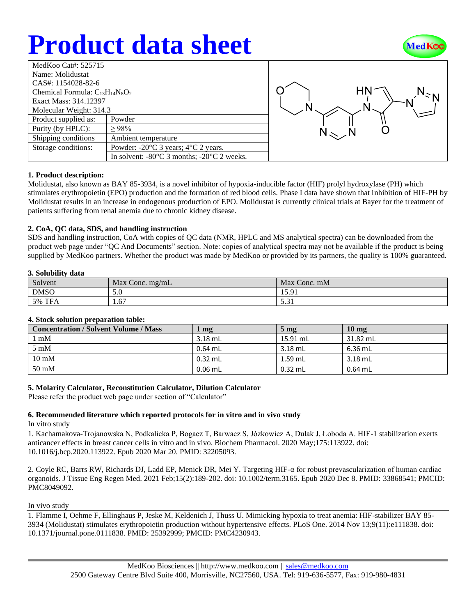# **Product data sheet**



| MedKoo Cat#: 525715                    |                                                                |  |  |  |
|----------------------------------------|----------------------------------------------------------------|--|--|--|
| Name: Molidustat                       |                                                                |  |  |  |
| CAS#: 1154028-82-6                     |                                                                |  |  |  |
| Chemical Formula: $C_{13}H_{14}N_8O_2$ |                                                                |  |  |  |
| Exact Mass: 314.12397                  |                                                                |  |  |  |
| Molecular Weight: 314.3                |                                                                |  |  |  |
| Product supplied as:                   | Powder                                                         |  |  |  |
| Purity (by HPLC):                      | $> 98\%$                                                       |  |  |  |
| Shipping conditions                    | Ambient temperature                                            |  |  |  |
| Storage conditions:                    | Powder: $-20^{\circ}$ C 3 years; $4^{\circ}$ C 2 years.        |  |  |  |
|                                        | In solvent: $-80^{\circ}$ C 3 months; $-20^{\circ}$ C 2 weeks. |  |  |  |
|                                        |                                                                |  |  |  |



# **1. Product description:**

Molidustat, also known as BAY 85-3934, is a novel inhibitor of hypoxia-inducible factor (HIF) prolyl hydroxylase (PH) which stimulates erythropoietin (EPO) production and the formation of red blood cells. Phase I data have shown that inhibition of HIF-PH by Molidustat results in an increase in endogenous production of EPO. Molidustat is currently clinical trials at Bayer for the treatment of patients suffering from renal anemia due to chronic kidney disease.

#### **2. CoA, QC data, SDS, and handling instruction**

SDS and handling instruction, CoA with copies of QC data (NMR, HPLC and MS analytical spectra) can be downloaded from the product web page under "QC And Documents" section. Note: copies of analytical spectra may not be available if the product is being supplied by MedKoo partners. Whether the product was made by MedKoo or provided by its partners, the quality is 100% guaranteed.

#### **3. Solubility data**

| Solvent            | Max<br>$\rm v$ Conc. mg/mL | Max<br>Conc. mM     |
|--------------------|----------------------------|---------------------|
| <b>DMSO</b>        | 5.0                        | 1501<br>19.71       |
| TE.<br>5%<br>1 F A | 1.67                       | $\sim$ 0.1<br>J.J 1 |

# **4. Stock solution preparation table:**

| "To be a post-treated paraprile the contract |           |                   |                  |  |  |
|----------------------------------------------|-----------|-------------------|------------------|--|--|
| <b>Concentration / Solvent Volume / Mass</b> | mg        | $5 \,\mathrm{mg}$ | 10 <sub>mg</sub> |  |  |
| l mM                                         | $3.18$ mL | 15.91 mL          | 31.82 mL         |  |  |
| $5 \text{ mM}$                               | 0.64 mL   | $3.18$ mL         | $6.36$ mL        |  |  |
| $10 \text{ mM}$                              | $0.32$ mL | $1.59$ mL         | $3.18$ mL        |  |  |
| $50 \text{ mM}$                              | $0.06$ mL | $0.32$ mL         | $0.64$ mL        |  |  |

# **5. Molarity Calculator, Reconstitution Calculator, Dilution Calculator**

Please refer the product web page under section of "Calculator"

# **6. Recommended literature which reported protocols for in vitro and in vivo study**

In vitro study

1. Kachamakova-Trojanowska N, Podkalicka P, Bogacz T, Barwacz S, Józkowicz A, Dulak J, Łoboda A. HIF-1 stabilization exerts anticancer effects in breast cancer cells in vitro and in vivo. Biochem Pharmacol. 2020 May;175:113922. doi: 10.1016/j.bcp.2020.113922. Epub 2020 Mar 20. PMID: 32205093.

2. Coyle RC, Barrs RW, Richards DJ, Ladd EP, Menick DR, Mei Y. Targeting HIF-α for robust prevascularization of human cardiac organoids. J Tissue Eng Regen Med. 2021 Feb;15(2):189-202. doi: 10.1002/term.3165. Epub 2020 Dec 8. PMID: 33868541; PMCID: PMC8049092.

#### In vivo study

1. Flamme I, Oehme F, Ellinghaus P, Jeske M, Keldenich J, Thuss U. Mimicking hypoxia to treat anemia: HIF-stabilizer BAY 85- 3934 (Molidustat) stimulates erythropoietin production without hypertensive effects. PLoS One. 2014 Nov 13;9(11):e111838. doi: 10.1371/journal.pone.0111838. PMID: 25392999; PMCID: PMC4230943.